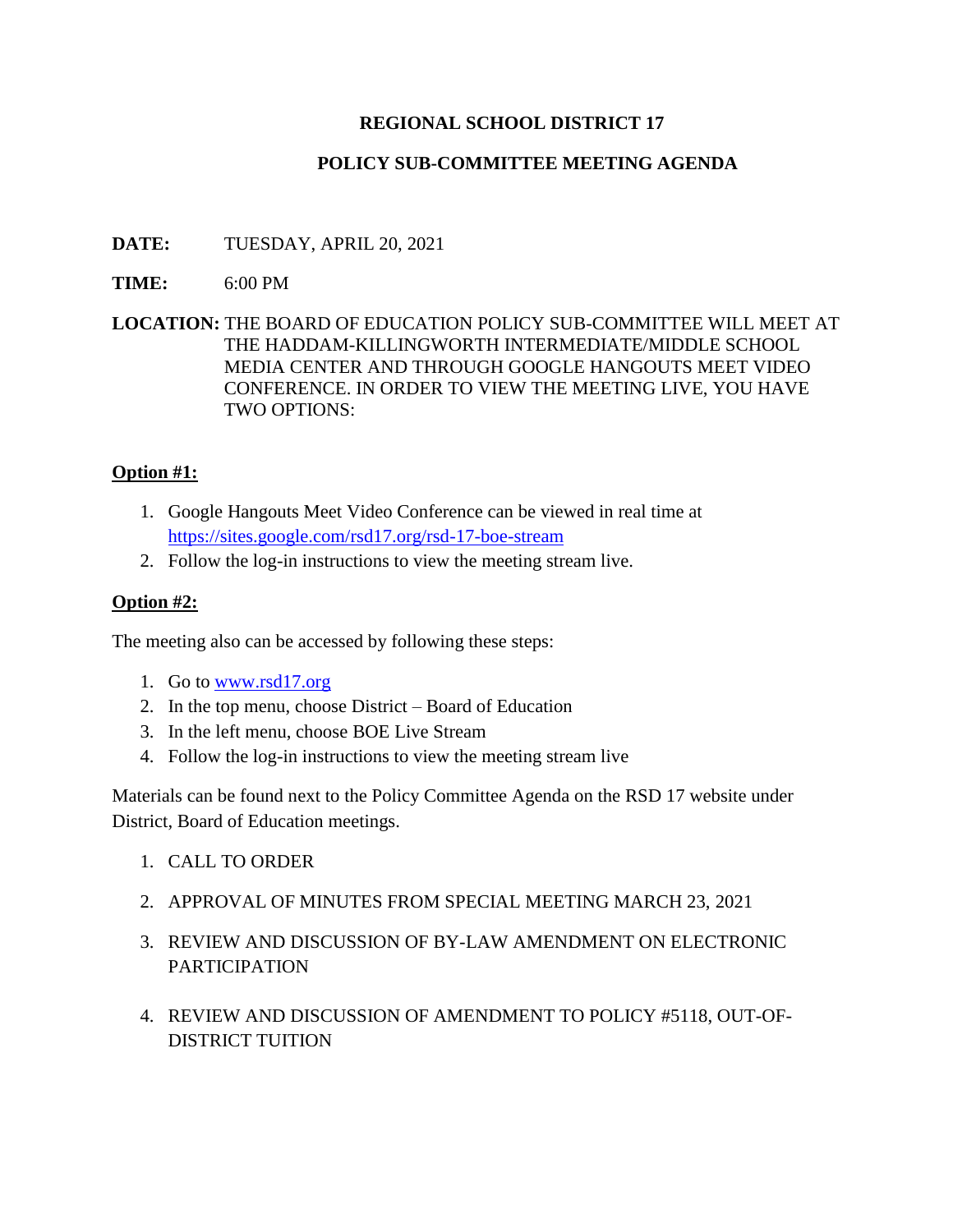# **REGIONAL SCHOOL DISTRICT 17**

# **POLICY SUB-COMMITTEE MEETING AGENDA**

# **DATE:** TUESDAY, APRIL 20, 2021

### **TIME:** 6:00 PM

### **LOCATION:** THE BOARD OF EDUCATION POLICY SUB-COMMITTEE WILL MEET AT THE HADDAM-KILLINGWORTH INTERMEDIATE/MIDDLE SCHOOL MEDIA CENTER AND THROUGH GOOGLE HANGOUTS MEET VIDEO CONFERENCE. IN ORDER TO VIEW THE MEETING LIVE, YOU HAVE TWO OPTIONS:

### **Option #1:**

- 1. Google Hangouts Meet Video Conference can be viewed in real time at <https://sites.google.com/rsd17.org/rsd-17-boe-stream>
- 2. Follow the log-in instructions to view the meeting stream live.

### **Option #2:**

The meeting also can be accessed by following these steps:

- 1. Go to [www.rsd17.org](http://www.rsd17.org/)
- 2. In the top menu, choose District Board of Education
- 3. In the left menu, choose BOE Live Stream
- 4. Follow the log-in instructions to view the meeting stream live

Materials can be found next to the Policy Committee Agenda on the RSD 17 website under District, Board of Education meetings.

- 1. CALL TO ORDER
- 2. APPROVAL OF MINUTES FROM SPECIAL MEETING MARCH 23, 2021
- 3. REVIEW AND DISCUSSION OF BY-LAW AMENDMENT ON ELECTRONIC PARTICIPATION
- 4. REVIEW AND DISCUSSION OF AMENDMENT TO POLICY #5118, OUT-OF-DISTRICT TUITION